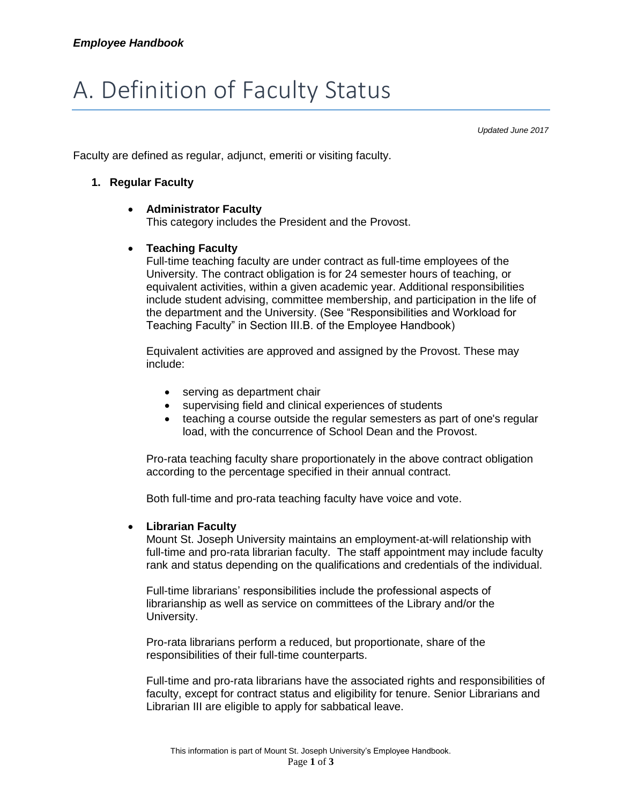# A. Definition of Faculty Status

*Updated June 2017*

Faculty are defined as regular, adjunct, emeriti or visiting faculty.

# **1. Regular Faculty**

# **Administrator Faculty**

This category includes the President and the Provost.

# **Teaching Faculty**

Full-time teaching faculty are under contract as full-time employees of the University. The contract obligation is for 24 semester hours of teaching, or equivalent activities, within a given academic year. Additional responsibilities include student advising, committee membership, and participation in the life of the department and the University. (See "Responsibilities and Workload for Teaching Faculty" in Section III.B. of the Employee Handbook)

Equivalent activities are approved and assigned by the Provost. These may include:

- serving as department chair
- supervising field and clinical experiences of students
- teaching a course outside the regular semesters as part of one's regular load, with the concurrence of School Dean and the Provost.

Pro-rata teaching faculty share proportionately in the above contract obligation according to the percentage specified in their annual contract.

Both full-time and pro-rata teaching faculty have voice and vote.

#### **Librarian Faculty**

Mount St. Joseph University maintains an employment-at-will relationship with full-time and pro-rata librarian faculty. The staff appointment may include faculty rank and status depending on the qualifications and credentials of the individual.

Full-time librarians' responsibilities include the professional aspects of librarianship as well as service on committees of the Library and/or the University.

Pro-rata librarians perform a reduced, but proportionate, share of the responsibilities of their full-time counterparts.

Full-time and pro-rata librarians have the associated rights and responsibilities of faculty, except for contract status and eligibility for tenure. Senior Librarians and Librarian III are eligible to apply for sabbatical leave.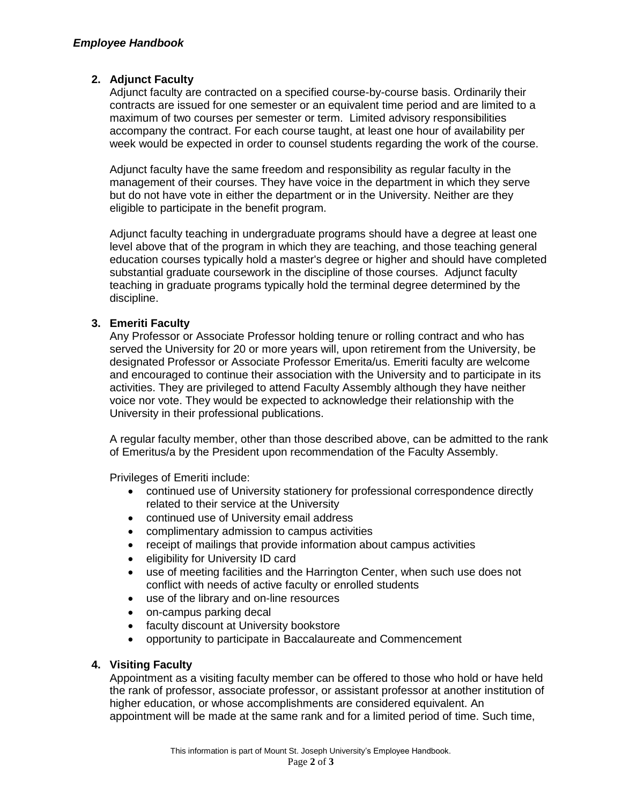# **2. Adjunct Faculty**

Adjunct faculty are contracted on a specified course-by-course basis. Ordinarily their contracts are issued for one semester or an equivalent time period and are limited to a maximum of two courses per semester or term. Limited advisory responsibilities accompany the contract. For each course taught, at least one hour of availability per week would be expected in order to counsel students regarding the work of the course.

Adjunct faculty have the same freedom and responsibility as regular faculty in the management of their courses. They have voice in the department in which they serve but do not have vote in either the department or in the University. Neither are they eligible to participate in the benefit program.

Adjunct faculty teaching in undergraduate programs should have a degree at least one level above that of the program in which they are teaching, and those teaching general education courses typically hold a master's degree or higher and should have completed substantial graduate coursework in the discipline of those courses. Adjunct faculty teaching in graduate programs typically hold the terminal degree determined by the discipline.

# **3. Emeriti Faculty**

Any Professor or Associate Professor holding tenure or rolling contract and who has served the University for 20 or more years will, upon retirement from the University, be designated Professor or Associate Professor Emerita/us. Emeriti faculty are welcome and encouraged to continue their association with the University and to participate in its activities. They are privileged to attend Faculty Assembly although they have neither voice nor vote. They would be expected to acknowledge their relationship with the University in their professional publications.

A regular faculty member, other than those described above, can be admitted to the rank of Emeritus/a by the President upon recommendation of the Faculty Assembly.

Privileges of Emeriti include:

- continued use of University stationery for professional correspondence directly related to their service at the University
- continued use of University email address
- complimentary admission to campus activities
- receipt of mailings that provide information about campus activities
- eligibility for University ID card
- use of meeting facilities and the Harrington Center, when such use does not conflict with needs of active faculty or enrolled students
- use of the library and on-line resources
- on-campus parking decal
- faculty discount at University bookstore
- opportunity to participate in Baccalaureate and Commencement

# **4. Visiting Faculty**

Appointment as a visiting faculty member can be offered to those who hold or have held the rank of professor, associate professor, or assistant professor at another institution of higher education, or whose accomplishments are considered equivalent. An appointment will be made at the same rank and for a limited period of time. Such time,